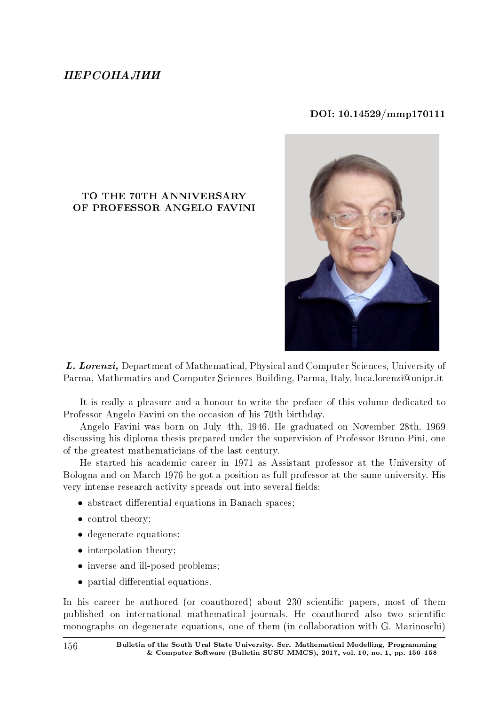## $IIFPCOHA. IIMM$

## DOI: 10.14529/mmp170111

## TO THE 70TH ANNIVERSARY OF PROFESSOR ANGELO FAVINI



L. Lorenzi, Department of Mathematical, Physical and Computer Sciences, University of Parma, Mathematics and Computer Sciences Building, Parma, Italy, luca.lorenzi@unipr.it

It is really a pleasure and a honour to write the preface of this volume dedicated to Professor Angelo Favini on the occasion of his 70th birthday.

Angelo Favini was born on July 4th, 1946. He graduated on November 28th, 1969 discussing his diploma thesis prepared under the supervision of Professor Bruno Pini, one of the greatest mathematicians of the last century.

He started his academic career in 1971 as Assistant professor at the University of Bologna and on March 1976 he got a position as full professor at the same university. His very intense research activity spreads out into several fields:

- abstract differential equations in Banach spaces;
- control theory:
- degenerate equations;
- interpolation theory;
- inverse and ill-posed problems:
- partial differential equations.

In his career he authored (or coauthored) about 230 scientific papers, most of them published on international mathematical journals. He coauthored also two scientific monographs on degenerate equations, one of them (in collaboration with G. Marinoschi)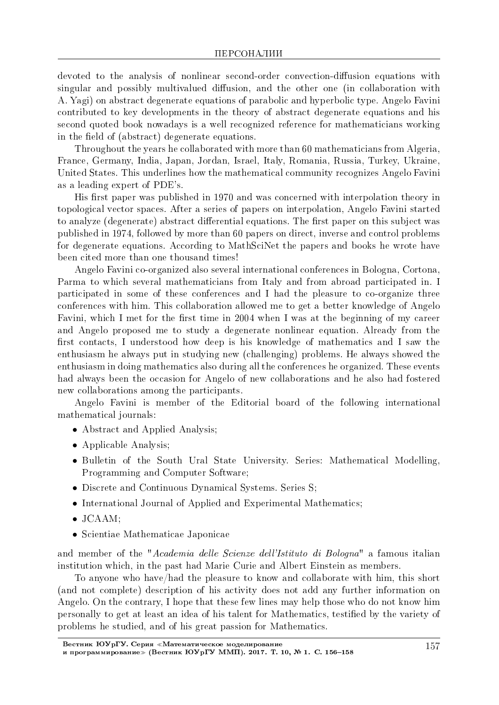devoted to the analysis of nonlinear second-order convection-diffusion equations with singular and possibly multivalued diffusion, and the other one (in collaboration with A. Yagi) on abstract degenerate equations of parabolic and hyperbolic type. Angelo Favini contributed to key developments in the theory of abstract degenerate equations and his second quoted book nowadays is a well recognized reference for mathematicians working in the field of (abstract) degenerate equations.

Throughout the years he collaborated with more than 60 mathematicians from Algeria, France, Germany, India, Japan, Jordan, Israel, Italy, Romania, Russia, Turkey, Ukraine, United States. This underlines how the mathematical community recognizes Angelo Favini as a leading expert of PDE's.

His first paper was published in 1970 and was concerned with interpolation theory in topological vector spaces. After a series of papers on interpolation, Angelo Favini started to analyze (degenerate) abstract differential equations. The first paper on this subject was published in 1974, followed by more than 60 papers on direct, inverse and control problems for degenerate equations. According to MathSciNet the papers and books he wrote have been cited more than one thousand times!

Angelo Favini co-organized also several international conferences in Bologna, Cortona, Parma to which several mathematicians from Italy and from abroad participated in. I participated in some of these conferences and I had the pleasure to co-organize three conferences with him. This collaboration allowed me to get a better knowledge of Angelo Favini, which I met for the first time in 2004 when I was at the beginning of my career and Angelo proposed me to study a degenerate nonlinear equation. Already from the first contacts, I understood how deep is his knowledge of mathematics and I saw the enthusiasm he always put in studying new (challenging) problems. He always showed the enthusiasm in doing mathematics also during all the conferences he organized. These events had always been the occasion for Angelo of new collaborations and he also had fostered new collaborations among the participants.

Angelo Favini is member of the Editorial board of the following international mathematical journals:

- Abstract and Applied Analysis;
- *•* Applicable Analysis;
- Bulletin of the South Ural State University. Series: Mathematical Modelling, Programming and Computer Software;
- *•* Discrete and Continuous Dynamical Systems. Series S;
- *•* International Journal of Applied and Experimental Mathematics;
- *•* JCAAM;
- *•* Scientiae Mathematicae Japonicae

and member of the "Academia delle Scienze dell'Istituto di Bologna" a famous italian institution which, in the past had Marie Curie and Albert Einstein as members.

To anyone who have/had the pleasure to know and collaborate with him, this short (and not complete) description of his activity does not add any further information on Angelo. On the contrary, I hope that these few lines may help those who do not know him personally to get at least an idea of his talent for Mathematics, testied by the variety of problems he studied, and of his great passion for Mathematics.